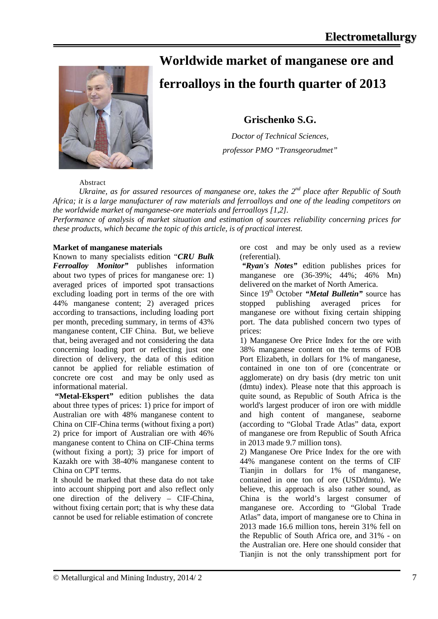

# **Worldwide market of manganese ore and**

# **ferroalloys in the fourth quarter of 2013**

**Grischenko S.G.** 

*Doctor of Technical Sciences, professor PMO "Transgeorudmet"*

### Abstract

*Ukraine, as for assured resources of manganese ore, takes the 2<sup>nd</sup> place after Republic of South Africa; it is a large manufacturer of raw materials and ferroalloys and one of the leading competitors on the worldwide market of manganese-ore materials and ferroalloys [1,2].*

*Performance of analysis of market situation and estimation of sources reliability concerning prices for these products, which became the topic of this article, is of practical interest.* 

#### **Market of manganese materials**

Known to many specialists edition "*CRU Bulk Ferroalloy Monitor"* publishes information about two types of prices for manganese ore: 1) averaged prices of imported spot transactions excluding loading port in terms of the ore with 44% manganese content; 2) averaged prices according to transactions, including loading port per month, preceding summary, in terms of 43% manganese content, CIF China. But, we believe that, being averaged and not considering the data concerning loading port or reflecting just one direction of delivery, the data of this edition cannot be applied for reliable estimation of concrete ore cost and may be only used as informational material.

**"Metal-Ekspert"** edition publishes the data about three types of prices: 1) price for import of Australian ore with 48% manganese content to China on CIF-China terms (without fixing a port) 2) price for import of Australian ore with 46% manganese content to China on CIF-China terms (without fixing a port); 3) price for import of Kazakh ore with 38-40% manganese content to China on CPT terms.

It should be marked that these data do not take into account shipping port and also reflect only one direction of the delivery – CIF-China, without fixing certain port; that is why these data cannot be used for reliable estimation of concrete

ore cost and may be only used as a review (referential).

*"Ryan's Notes"* edition publishes prices for manganese ore (36-39%; 44%; 46% Mn) delivered on the market of North America.

Since 19<sup>th</sup> October *"Metal Bulletin"* source has stopped publishing averaged prices for manganese ore without fixing certain shipping port. The data published concern two types of prices:

1) Manganese Ore Price Index for the ore with 38% manganese content on the terms of FOB Port Elizabeth, in dollars for 1% of manganese, contained in one ton of ore (concentrate or agglomerate) on dry basis (dry metric ton unit (dmtu) index). Please note that this approach is quite sound, as Republic of South Africa is the world's largest producer of iron ore with middle and high content of manganese, seaborne (according to "Global Trade Atlas" data, export of manganese ore from Republic of South Africa in 2013 made 9.7 million tons).

2) Manganese Ore Price Index for the ore with 44% manganese content on the terms of CIF Tianjin in dollars for 1% of manganese, contained in one ton of ore (USD**/**dmtu). We believe, this approach is also rather sound, as China is the world's largest consumer of manganese ore. According to "Global Trade Atlas" data, import of manganese ore to China in 2013 made 16.6 million tons, herein 31% fell on the Republic of South Africa ore, and 31% - on the Australian ore. Here one should consider that Tianjin is not the only transshipment port for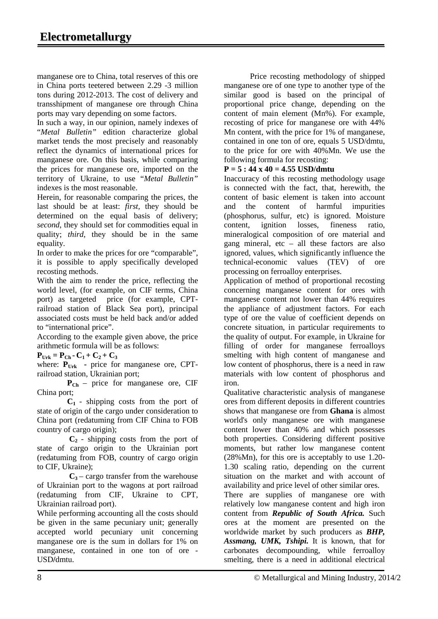manganese ore to China, total reserves of this ore in China ports teetered between 2.29 -3 million tons during 2012-2013. The cost of delivery and transshipment of manganese ore through China ports may vary depending on some factors.

In such a way, in our opinion, namely indexes of "*Metal Bulletin"* edition characterize global market tends the most precisely and reasonably reflect the dynamics of international prices for manganese ore. On this basis, while comparing the prices for manganese ore, imported on the territory of Ukraine, to use "*Metal Bulletin"*  indexes is the most reasonable.

Herein, for reasonable comparing the prices, the last should be at least: *first,* they should be determined on the equal basis of delivery; *second*, they should set for commodities equal in quality; *third*, they should be in the same equality.

In order to make the prices for ore "comparable", it is possible to apply specifically developed recosting methods.

With the aim to render the price, reflecting the world level, (for example, on CIF terms, China port) as targeted price (for example, CPTrailroad station of Black Sea port), principal associated costs must be held back and/or added to "international price".

According to the example given above, the price arithmetic formula will be as follows:

 $P_{Urk} = P_{Ch} - C_1 + C_2 + C_3$ 

where:  $P_{Urk}$  - price for manganese ore, CPTrailroad station, Ukrainian port;

 $P_{Ch}$  – price for manganese ore, CIF China port;

 $C_1$  - shipping costs from the port of state of origin of the cargo under consideration to China port (redatuming from CIF China to FOB country of cargo origin);

 $C_2$  - shipping costs from the port of state of cargo origin to the Ukrainian port (redatuming from FOB, country of cargo origin to CIF, Ukraine);

 $C_3$ – cargo transfer from the warehouse of Ukrainian port to the wagons at port railroad (redatuming from CIF, Ukraine to CPT, Ukrainian railroad port).

While performing accounting all the costs should be given in the same pecuniary unit; generally accepted world pecuniary unit concerning manganese ore is the sum in dollars for 1% on manganese, contained in one ton of ore - USD**/**dmtu.

Price recosting methodology of shipped manganese ore of one type to another type of the similar good is based on the principal of proportional price change, depending on the content of main element (Mn%). For example, recosting of price for manganese ore with 44% Mn content, with the price for 1% of manganese, contained in one ton of ore, equals 5 USD/dmtu, to the price for ore with 40%Mn. We use the following formula for recosting:

### **P = 5 : 44 x 40 = 4.55 USD/dmtu**

Inaccuracy of this recosting methodology usage is connected with the fact, that, herewith, the content of basic element is taken into account and the content of harmful impurities (phosphorus, sulfur, etc) is ignored. Moisture content, ignition losses, fineness ratio, mineralogical composition of ore material and gang mineral,  $etc - all$  these factors are also ignored, values, which significantly influence the technical-economic values (TEV) of ore processing on ferroalloy enterprises.

Application of method of proportional recosting concerning manganese content for ores with manganese content not lower than 44% requires the appliance of adjustment factors. For each type of ore the value of coefficient depends on concrete situation, in particular requirements to the quality of output. For example, in Ukraine for filling of order for manganese ferroalloys smelting with high content of manganese and low content of phosphorus, there is a need in raw materials with low content of phosphorus and iron.

Qualitative characteristic analysis of manganese ores from different deposits in different countries shows that manganese ore from **Ghana** is almost world's only manganese ore with manganese content lower than 40% and which possesses both properties. Considering different positive moments, but rather low manganese content (28%Mn), for this ore is acceptably to use 1.20- 1.30 scaling ratio, depending on the current situation on the market and with account of availability and price level of other similar ores.

There are supplies of manganese ore with relatively low manganese content and high iron content from *Republic of South Africa.* Such ores at the moment are presented on the worldwide market by such producers as *BHP, Assmang, UMK, Tshipi.* It is known, that for carbonates decompounding, while ferroalloy smelting, there is a need in additional electrical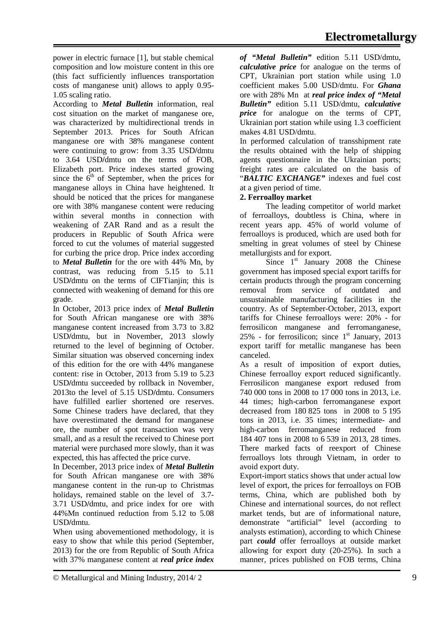power in electric furnace [1], but stable chemical composition and low moisture content in this ore (this fact sufficiently influences transportation costs of manganese unit) allows to apply 0.95- 1.05 scaling ratio.

According to *Metal Bulletin* information, real cost situation on the market of manganese ore, was characterized by multidirectional trends in September 2013. Prices for South African manganese ore with 38% manganese content were continuing to grow: from 3.35 USD**/**dmtu to 3.64 USD**/**dmtu on the terms of FOB, Elizabeth port. Price indexes started growing since the  $6<sup>th</sup>$  of September, when the prices for manganese alloys in China have heightened. It should be noticed that the prices for manganese ore with 38% manganese content were reducing within several months in connection with weakening of ZAR Rand and as a result the producers in Republic of South Africa were forced to cut the volumes of material suggested for curbing the price drop. Price index according to *Metal Bulletin* for the ore with 44% Mn, by contrast, was reducing from 5.15 to 5.11 USD**/**dmtu on the terms of CIFTianjin; this is connected with weakening of demand for this ore grade.

In October, 2013 price index of *Metal Bulletin* for South African manganese ore with 38% manganese content increased from 3.73 to 3.82 USD**/**dmtu, but in November, 2013 slowly returned to the level of beginning of October. Similar situation was observed concerning index of this edition for the ore with 44% manganese content: rise in October, 2013 from 5.19 to 5.23 USD**/**dmtu succeeded by rollback in November, 2013to the level of 5.15 USD**/**dmtu. Consumers have fulfilled earlier shortened ore reserves. Some Chinese traders have declared, that they have overestimated the demand for manganese ore, the number of spot transaction was very small, and as a result the received to Chinese port material were purchased more slowly, than it was expected, this has affected the price curve.

In December, 2013 price index of *Metal Bulletin* for South African manganese ore with 38% manganese content in the run-up to Christmas holidays, remained stable on the level of 3.7- 3.71 USD**/**dmtu, and price index for ore with 44%Mn continued reduction from 5.12 to 5.08 USD**/**dmtu.

When using abovementioned methodology, it is easy to show that while this period (September, 2013) for the ore from Republic of South Africa with 37% manganese content at *real price index* 

*of "Metal Bulletin"* edition 5.11 USD/dmtu, *calculative price* for analogue on the terms of CPT, Ukrainian port station while using 1.0 coefficient makes 5.00 USD/dmtu. For *Ghana* ore with 28% Mn at *real price index of "Metal Bulletin"* edition 5.11 USD/dmtu, *calculative price* for analogue on the terms of CPT, Ukrainian port station while using 1.3 coefficient makes 4.81 USD/dmtu.

In performed calculation of transshipment rate the results obtained with the help of shipping agents questionnaire in the Ukrainian ports; freight rates are calculated on the basis of "*BALTIC EXCHANGE"* indexes and fuel cost at a given period of time.

## **2. Ferroalloy market**

The leading competitor of world market of ferroalloys, doubtless is China, where in recent years app. 45% of world volume of ferroalloys is produced, which are used both for smelting in great volumes of steel by Chinese metallurgists and for export.

Since  $1<sup>st</sup>$  January 2008 the Chinese government has imposed special export tariffs for certain products through the program concerning removal from service of outdated and unsustainable manufacturing facilities in the country. As of September-October, 2013, export tariffs for Chinese ferroalloys were: 20% - for ferrosilicon manganese and ferromanganese, 25% - for ferrosilicon; since  $1<sup>st</sup>$  January, 2013 export tariff for metallic manganese has been canceled.

As a result of imposition of export duties, Chinese ferroalloy export reduced significantly. Ferrosilicon manganese export redused from 740 000 tons in 2008 to 17 000 tons in 2013, i.e. 44 times; high-carbon ferromanganese export decreased from 180 825 tons in 2008 to 5 195 tons in 2013, i.e. 35 times; intermediate- and high-carbon ferromanganese reduced from 184 407 tons in 2008 to 6 539 in 2013, 28 times. There marked facts of reexport of Chinese ferroalloys lots through Vietnam, in order to avoid export duty.

Export-import statics shows that under actual low level of export, the prices for ferroalloys on FOB terms, China, which are published both by Chinese and international sources, do not reflect market tends, but are of informational nature, demonstrate "artificial" level (according to analysts estimation), according to which Chinese part *could* offer ferroalloys at outside market allowing for export duty (20-25%). In such a manner, prices published on FOB terms, China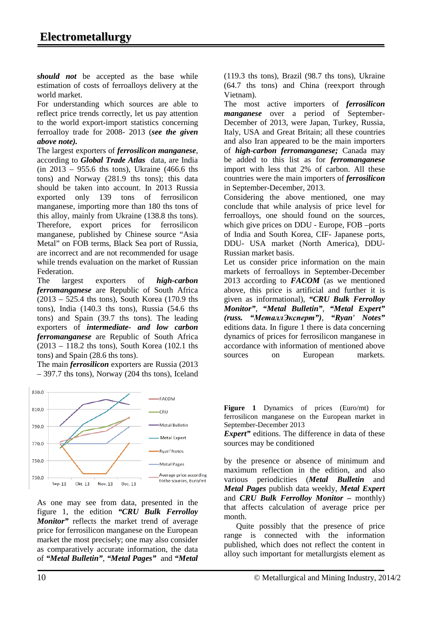*should not* be accepted as the base while estimation of costs of ferroalloys delivery at the world market.

For understanding which sources are able to reflect price trends correctly, let us pay attention to the world export-import statistics concerning ferroalloy trade for 2008- 2013 (*see the given above note).*

The largest exporters of *ferrosilicon manganese*, according to *Global Trade Atlas* data, are India (in 2013 – 955.6 ths tons), Ukraine (466.6 ths tons) and Norway (281.9 ths tons); this data should be taken into account. In 2013 Russia exported only 139 tons of ferrosilicon manganese, importing more than 180 ths tons of this alloy, mainly from Ukraine (138.8 ths tons). Therefore, export prices for ferrosilicon manganese, published by Chinese source "Asia Metal" on FOB terms, Black Sea port of Russia, are incorrect and are not recommended for usage while trends evaluation on the market of Russian Federation.

The largest exporters of *high-carbon ferromanganese* are Republic of South Africa (2013 – 525.4 ths tons), South Korea (170.9 ths tons), India (140.3 ths tons), Russia (54.6 ths tons) and Spain (39.7 ths tons). The leading exporters of *intermediate- and low carbon ferromanganese* are Republic of South Africa  $(2013 - 118.2 \text{ this tons})$ . South Korea  $(102.1 \text{ this})$ tons) and Spain (28.6 ths tons).

The main *ferrosilicon* exporters are Russia (2013 – 397.7 ths tons), Norway (204 ths tons), Iceland



As one may see from data, presented in the figure 1, the edition *"CRU Bulk Ferrolloy Monitor"* reflects the market trend of average price for ferrosilicon manganese on the European market the most precisely; one may also consider as comparatively accurate information, the data of *"Metal Bulletin"*, *"Metal Pages"* and *"Metal* 

(119.3 ths tons), Brazil (98.7 ths tons), Ukraine (64.7 ths tons) and China (reexport through Vietnam).

The most active importers of *ferrosilicon manganese* over a period of September-December of 2013, were Japan, Turkey, Russia, Italy, USA and Great Britain; all these countries and also Iran appeared to be the main importers of *high-carbon ferromanganese;* Canada may be added to this list as for *ferromanganese*  import with less that 2% of carbon. All these countries were the main importers of *ferrosilicon* in September-December, 2013.

Considering the above mentioned, one may conclude that while analysis of price level for ferroalloys, one should found on the sources, which give prices on DDU - Europe, FOB –ports of India and South Korea, CIF- Japanese ports, DDU- USA market (North America), DDU-Russian market basis.

Let us consider price information on the main markets of ferroalloys in September-December 2013 according to *FACOM* (as we mentioned above, this price is artificial and further it is given as informational), *"CRU Bulk Ferrolloy Monitor"*, *"Metal Bulletin"*, *"Metal Expert" (russ. "МеталлЭксперт")*, *"Ryan' Notes"* editions data. In figure 1 there is data concerning dynamics of prices for ferrosilicon manganese in accordance with information of mentioned above sources on European markets.

**Figure 1** Dynamics of prices (Euro/mt) for ferrosilicon manganese on the European market in September-December 2013

*Expert*" editions. The difference in data of these sources may be conditioned

by the presence or absence of minimum and maximum reflection in the edition, and also various periodicities (*Metal Bulletin* and *Metal Pages* publish data weekly, *Metal Expert* and *CRU Bulk Ferrolloy Monitor –* monthly) that affects calculation of average price per month.

 Quite possibly that the presence of price range is connected with the information published, which does not reflect the content in alloy such important for metallurgists element as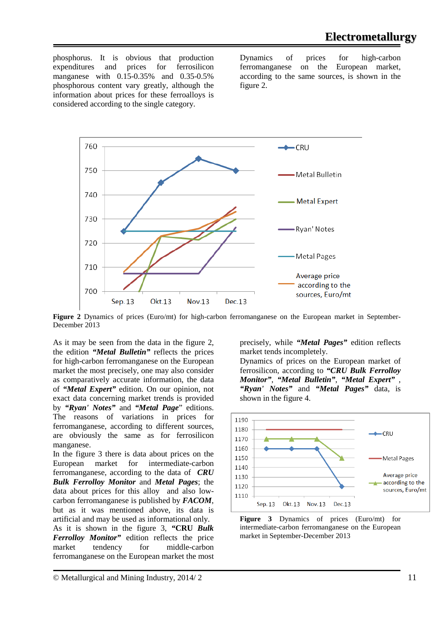phosphorus. It is obvious that production expenditures and prices for ferrosilicon manganese with 0.15-0.35% and 0.35-0.5% phosphorous content vary greatly, although the information about prices for these ferroalloys is considered according to the single category.

Dynamics of prices for high-carbon ferromanganese on the European market, according to the same sources, is shown in the figure 2.



**Figure 2** Dynamics of prices (Euro/mt) for high-carbon ferromanganese on the European market in September-December 2013

As it may be seen from the data in the figure 2, the edition *"Metal Bulletin"* reflects the prices for high-carbon ferromanganese on the European market the most precisely, one may also consider as comparatively accurate information, the data of *"Metal Expert"* edition. On our opinion, not exact data concerning market trends is provided by *"Ryan' Notes"* and *"Metal Page*" editions. The reasons of variations in prices for ferromanganese, according to different sources, are obviously the same as for ferrosilicon manganese.

In the figure 3 there is data about prices on the European market for intermediate-carbon ferromanganese, according to the data of *CRU Bulk Ferrolloy Monitor* and *Metal Pages*; the data about prices for this alloy and also lowcarbon ferromanganese is published by *FACOM*, but as it was mentioned above, its data is artificial and may be used as informational only. As it is shown in the figure 3, *"***CRU** *Bulk Ferrolloy Monitor"* edition reflects the price market tendency for middle-carbon ferromanganese on the European market the most Dynamics of prices on the European market of ferrosilicon, according to *"CRU Bulk Ferrolloy Monitor"*, *"Metal Bulletin"*, *"Metal Expert"* ,

market tends incompletely.

*"Ryan' Notes"* and *"Metal Pages"* data, is shown in the figure 4.

precisely, while *"Metal Pages"* edition reflects



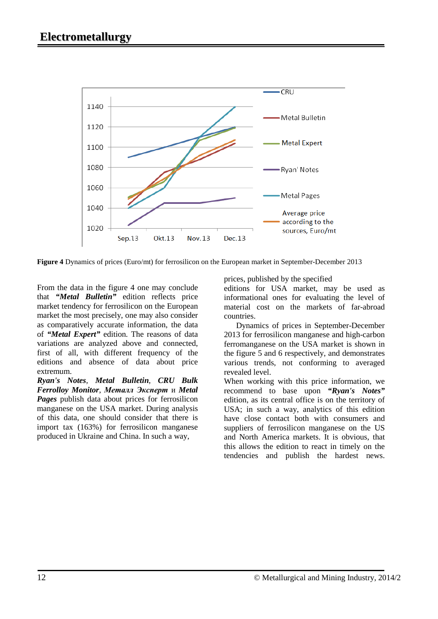

**Figure 4** Dynamics of prices (Euro/mt) for ferrosilicon on the European market in September-December 2013

From the data in the figure 4 one may conclude that *"Metal Bulletin"* edition reflects price market tendency for ferrosilicon on the European market the most precisely, one may also consider as comparatively accurate information, the data of *"Metal Expert"* edition. The reasons of data variations are analyzed above and connected, first of all, with different frequency of the editions and absence of data about price extremum.

*Ryan's Notes*, *Metal Bulletin*, *CRU Bulk Ferrolloy Monitor*, *Металл Эксперт* и *Metal Pages* publish data about prices for ferrosilicon manganese on the USA market. During analysis of this data, one should consider that there is import tax (163%) for ferrosilicon manganese produced in Ukraine and China. In such a way,

prices, published by the specified

editions for USA market, may be used as informational ones for evaluating the level of material cost on the markets of far-abroad countries.

 Dynamics of prices in September-December 2013 for ferrosilicon manganese and high-carbon ferromanganese on the USA market is shown in the figure 5 and 6 respectively, and demonstrates various trends, not conforming to averaged revealed level.

When working with this price information, we recommend to base upon *"Ryan's Notes"*  edition, as its central office is on the territory of USA; in such a way, analytics of this edition have close contact both with consumers and suppliers of ferrosilicon manganese on the US and North America markets. It is obvious, that this allows the edition to react in timely on the tendencies and publish the hardest news.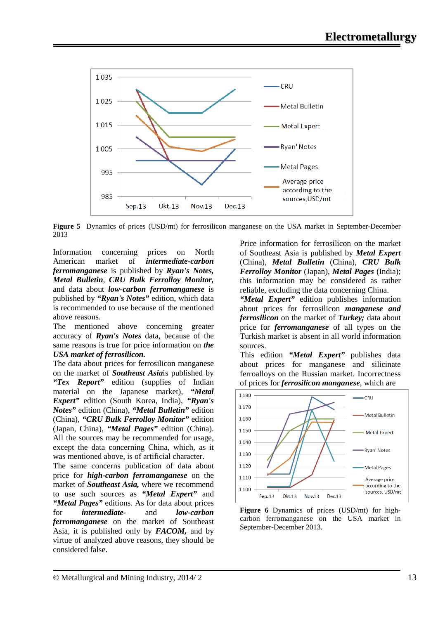

**Figure 5** Dynamics of prices (USD/mt) for ferrosilicon manganese on the USA market in September-December 2013

Information concerning prices on North American market of *intermediate-carbon ferromanganese* is published by *Ryan's Notes, Metal Bulletin*, *CRU Bulk Ferrolloy Monitor,*  and data about *low-carbon ferromanganese* is published by *"Ryan's Notes"* edition, which data is recommended to use because of the mentioned above reasons.

The mentioned above concerning greater accuracy of *Ryan's Notes* data, because of the same reasons is true for price information on *the USA market of ferrosilicon.*

The data about prices for ferrosilicon manganese on the market of *Southeast Asia*is published by *"Tex Report"* edition (supplies of Indian material on the Japanese market), *"Metal Expert"* edition (South Korea, India), *"Ryan's Notes"* edition (China), *"Metal Bulletin"* edition (China), *"CRU Bulk Ferrolloy Monitor"* edition (Japan, China), *"Metal Pages"* edition (China). All the sources may be recommended for usage, except the data concerning China, which, as it was mentioned above, is of artificial character.

The same concerns publication of data about price for *high-carbon ferromanganese* on the market of *Southeast Asia,* where we recommend to use such sources as *"Metal Expert"* and *"Metal Pages"* editions. As for data about prices for *intermediate-* and *low-carbon ferromanganese* on the market of Southeast Asia, it is published only by *FACOM,* and by virtue of analyzed above reasons, they should be considered false.

Price information for ferrosilicon on the market of Southeast Asia is published by *Metal Expert* (China), *Metal Bulletin* (China), *CRU Bulk Ferrolloy Monitor* (Japan), *Metal Pages* (India); this information may be considered as rather reliable, excluding the data concerning China.

*"Metal Expert"* edition publishes information about prices for ferrosilicon *manganese and ferrosilicon* on the market of *Turkey;* data about price for *ferromanganese* of all types on the Turkish market is absent in all world information sources.

This edition *"Metal Expert"* publishes data about prices for manganese and silicinate ferroalloys on the Russian market. Incorrectness of prices for *ferrosilicon manganese*, which are



**Figure 6** Dynamics of prices (USD/mt) for highcarbon ferromanganese on the USA market in September-December 2013.